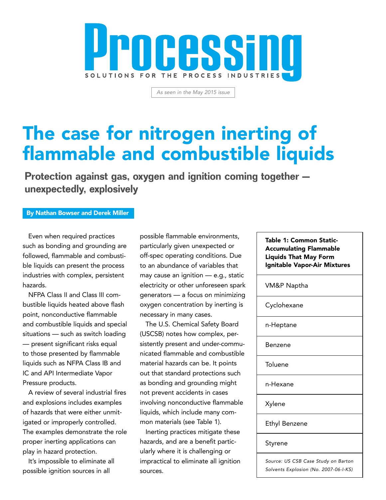

*As seen in the May 2015 issue*

## The case for nitrogen inerting of flammable and combustible liquids

Protection against gas, oxygen and ignition coming together unexpectedly, explosively

#### By Nathan Bowser and Derek Miller

Even when required practices such as bonding and grounding are followed, flammable and combustible liquids can present the process industries with complex, persistent hazards.

NFPA Class II and Class III combustible liquids heated above flash point, nonconductive flammable and combustible liquids and special situations — such as switch loading — present significant risks equal to those presented by flammable liquids such as NFPA Class IB and IC and API Intermediate Vapor Pressure products.

A review of several industrial fires and explosions includes examples of hazards that were either unmitigated or improperly controlled. The examples demonstrate the role proper inerting applications can play in hazard protection.

It's impossible to eliminate all possible ignition sources in all

possible flammable environments, particularly given unexpected or off-spec operating conditions. Due to an abundance of variables that may cause an ignition — e.g., static electricity or other unforeseen spark generators — a focus on minimizing oxygen concentration by inerting is necessary in many cases.

The U.S. Chemical Safety Board (USCSB) notes how complex, persistently present and under-communicated flammable and combustible material hazards can be. It points out that standard protections such as bonding and grounding might not prevent accidents in cases involving nonconductive flammable liquids, which include many common materials (see Table 1).

Inerting practices mitigate these hazards, and are a benefit particularly where it is challenging or impractical to eliminate all ignition sources.

| 18916 T. COMMON SLAUC-<br><b>Accumulating Flammable</b><br><b>Liquids That May Form</b><br>Ignitable Vapor-Air Mixtures |
|-------------------------------------------------------------------------------------------------------------------------|
| VM&P Naptha                                                                                                             |
| Cyclohexane                                                                                                             |

Table 1: Common Static-

n-Heptane

Benzene

**Toluene** 

n-Hexane

Xylene

Ethyl Benzene

Styrene

*Source: US CSB Case Study on Barton Solvents Explosion (No. 2007-06-I-KS)*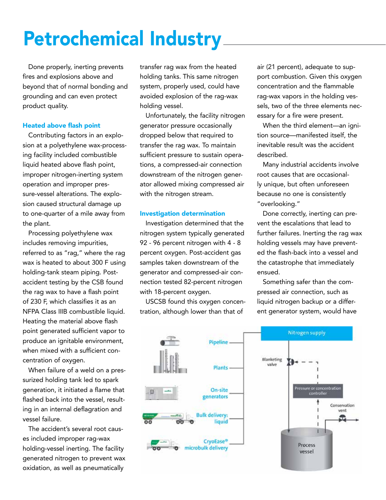## Petrochemical Industry

Done properly, inerting prevents fires and explosions above and beyond that of normal bonding and grounding and can even protect product quality.

#### Heated above flash point

Contributing factors in an explosion at a polyethylene wax-processing facility included combustible liquid heated above flash point, improper nitrogen-inerting system operation and improper pressure-vessel alterations. The explosion caused structural damage up to one-quarter of a mile away from the plant.

Processing polyethylene wax includes removing impurities, referred to as "rag," where the rag wax is heated to about 300 F using holding-tank steam piping. Postaccident testing by the CSB found the rag wax to have a flash point of 230 F, which classifies it as an NFPA Class IIIB combustible liquid. Heating the material above flash point generated sufficient vapor to produce an ignitable environment, when mixed with a sufficient concentration of oxygen.

When failure of a weld on a pressurized holding tank led to spark generation, it initiated a flame that flashed back into the vessel, resulting in an internal deflagration and vessel failure.

The accident's several root causes included improper rag-wax holding-vessel inerting. The facility generated nitrogen to prevent wax oxidation, as well as pneumatically

transfer rag wax from the heated holding tanks. This same nitrogen system, properly used, could have avoided explosion of the rag-wax holding vessel.

Unfortunately, the facility nitrogen generator pressure occasionally dropped below that required to transfer the rag wax. To maintain sufficient pressure to sustain operations, a compressed-air connection downstream of the nitrogen generator allowed mixing compressed air with the nitrogen stream.

#### Investigation determination

Investigation determined that the nitrogen system typically generated 92 - 96 percent nitrogen with 4 - 8 percent oxygen. Post-accident gas samples taken downstream of the generator and compressed-air connection tested 82-percent nitrogen with 18-percent oxygen.

USCSB found this oxygen concentration, although lower than that of

air (21 percent), adequate to support combustion. Given this oxygen concentration and the flammable rag-wax vapors in the holding vessels, two of the three elements necessary for a fire were present.

When the third element—an ignition source—manifested itself, the inevitable result was the accident described.

Many industrial accidents involve root causes that are occasionally unique, but often unforeseen because no one is consistently "overlooking."

Done correctly, inerting can prevent the escalations that lead to further failures. Inerting the rag wax holding vessels may have prevented the flash-back into a vessel and the catastrophe that immediately ensued.

Something safer than the compressed air connection, such as liquid nitrogen backup or a different generator system, would have



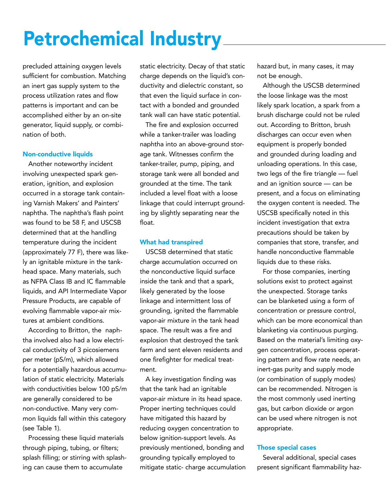## Petrochemical Industry

precluded attaining oxygen levels sufficient for combustion. Matching an inert gas supply system to the process utilization rates and flow patterns is important and can be accomplished either by an on-site generator, liquid supply, or combination of both.

### Non-conductive liquids

Another noteworthy incident involving unexpected spark generation, ignition, and explosion occurred in a storage tank containing Varnish Makers' and Painters' naphtha. The naphtha's flash point was found to be 58 F, and USCSB determined that at the handling temperature during the incident (approximately 77 F), there was likely an ignitable mixture in the tankhead space. Many materials, such as NFPA Class IB and IC flammable liquids, and API Intermediate Vapor Pressure Products, are capable of evolving flammable vapor-air mixtures at ambient conditions.

According to Britton, the naphtha involved also had a low electrical conductivity of 3 picosiemens per meter (pS/m), which allowed for a potentially hazardous accumulation of static electricity. Materials with conductivities below 100 pS/m are generally considered to be non-conductive. Many very common liquids fall within this category (see Table 1).

Processing these liquid materials through piping, tubing, or filters; splash filling; or stirring with splashing can cause them to accumulate

static electricity. Decay of that static charge depends on the liquid's conductivity and dielectric constant, so that even the liquid surface in contact with a bonded and grounded tank wall can have static potential.

The fire and explosion occurred while a tanker-trailer was loading naphtha into an above-ground storage tank. Witnesses confirm the tanker-trailer, pump, piping, and storage tank were all bonded and grounded at the time. The tank included a level float with a loose linkage that could interrupt grounding by slightly separating near the float.

#### What had transpired

USCSB determined that static charge accumulation occurred on the nonconductive liquid surface inside the tank and that a spark, likely generated by the loose linkage and intermittent loss of grounding, ignited the flammable vapor-air mixture in the tank head space. The result was a fire and explosion that destroyed the tank farm and sent eleven residents and one firefighter for medical treatment.

A key investigation finding was that the tank had an ignitable vapor-air mixture in its head space. Proper inerting techniques could have mitigated this hazard by reducing oxygen concentration to below ignition-support levels. As previously mentioned, bonding and grounding typically employed to mitigate static- charge accumulation hazard but, in many cases, it may not be enough.

Although the USCSB determined the loose linkage was the most likely spark location, a spark from a brush discharge could not be ruled out. According to Britton, brush discharges can occur even when equipment is properly bonded and grounded during loading and unloading operations. In this case, two legs of the fire triangle — fuel and an ignition source — can be present, and a focus on eliminating the oxygen content is needed. The USCSB specifically noted in this incident investigation that extra precautions should be taken by companies that store, transfer, and handle nonconductive flammable liquids due to these risks.

For those companies, inerting solutions exist to protect against the unexpected. Storage tanks can be blanketed using a form of concentration or pressure control, which can be more economical than blanketing via continuous purging. Based on the material's limiting oxygen concentration, process operating pattern and flow rate needs, an inert-gas purity and supply mode (or combination of supply modes) can be recommended. Nitrogen is the most commonly used inerting gas, but carbon dioxide or argon can be used where nitrogen is not appropriate.

### Those special cases

Several additional, special cases present significant flammability haz-